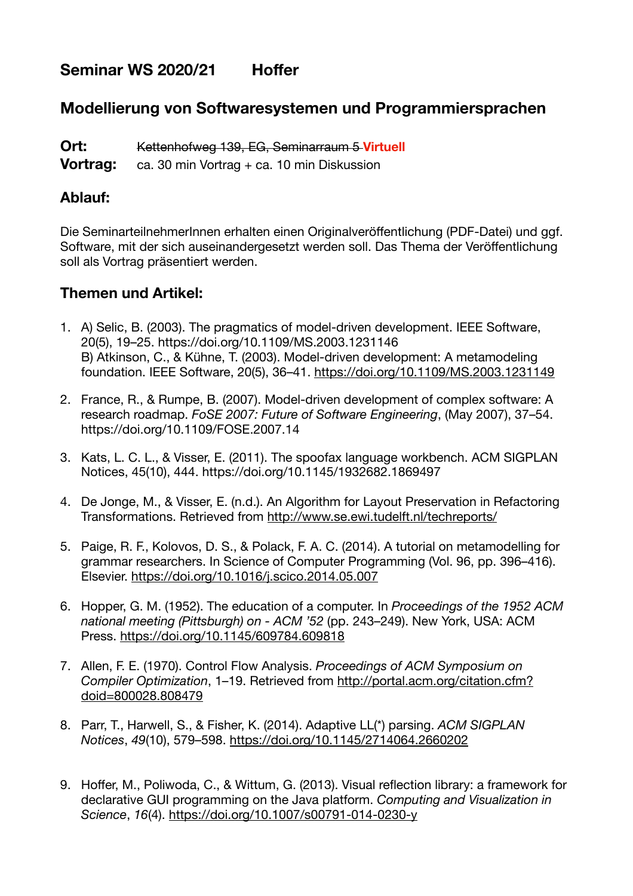# Seminar WS 2020/21 Hoffer

# **Modellierung von Softwaresystemen und Programmiersprachen**

**Ort:** Kettenhofweg 139, EG, Seminarraum 5 **Virtuell**

**Vortrag:** ca. 30 min Vortrag + ca. 10 min Diskussion

### **Ablauf:**

Die SeminarteilnehmerInnen erhalten einen Originalveröffentlichung (PDF-Datei) und ggf. Software, mit der sich auseinandergesetzt werden soll. Das Thema der Veröffentlichung soll als Vortrag präsentiert werden.

## **Themen und Artikel:**

- 1. A) Selic, B. (2003). The pragmatics of model-driven development. IEEE Software, 20(5), 19–25. <https://doi.org/10.1109/MS.2003.1231146> B) Atkinson, C., & Kühne, T. (2003). Model-driven development: A metamodeling foundation. IEEE Software, 20(5), 36–41. <https://doi.org/10.1109/MS.2003.1231149>
- 2. France, R., & Rumpe, B. (2007). Model-driven development of complex software: A research roadmap. *FoSE 2007: Future of Software Engineering*, (May 2007), 37–54. https://doi.org/10.1109/FOSE.2007.14
- 3. Kats, L. C. L., & Visser, E. (2011). The spoofax language workbench. ACM SIGPLAN Notices, 45(10), 444. https://doi.org/10.1145/1932682.1869497
- 4. De Jonge, M., & Visser, E. (n.d.). An Algorithm for Layout Preservation in Refactoring Transformations. Retrieved from<http://www.se.ewi.tudelft.nl/techreports/>
- 5. Paige, R. F., Kolovos, D. S., & Polack, F. A. C. (2014). A tutorial on metamodelling for grammar researchers. In Science of Computer Programming (Vol. 96, pp. 396–416). Elsevier.<https://doi.org/10.1016/j.scico.2014.05.007>
- 6. Hopper, G. M. (1952). The education of a computer. In *Proceedings of the 1952 ACM national meeting (Pittsburgh) on - ACM '52* (pp. 243–249). New York, USA: ACM Press.<https://doi.org/10.1145/609784.609818>
- 7. Allen, F. E. (1970). Control Flow Analysis. *Proceedings of ACM Symposium on Compiler Optimization*, 1–19. Retrieved from [http://portal.acm.org/citation.cfm?](http://portal.acm.org/citation.cfm?doid=800028.808479) [doid=800028.808479](http://portal.acm.org/citation.cfm?doid=800028.808479)
- 8. Parr, T., Harwell, S., & Fisher, K. (2014). Adaptive LL(\*) parsing. *ACM SIGPLAN Notices*, *49*(10), 579–598. <https://doi.org/10.1145/2714064.2660202>
- 9. Hoffer, M., Poliwoda, C., & Wittum, G. (2013). Visual reflection library: a framework for declarative GUI programming on the Java platform. *Computing and Visualization in Science*, *16*(4). <https://doi.org/10.1007/s00791-014-0230-y>